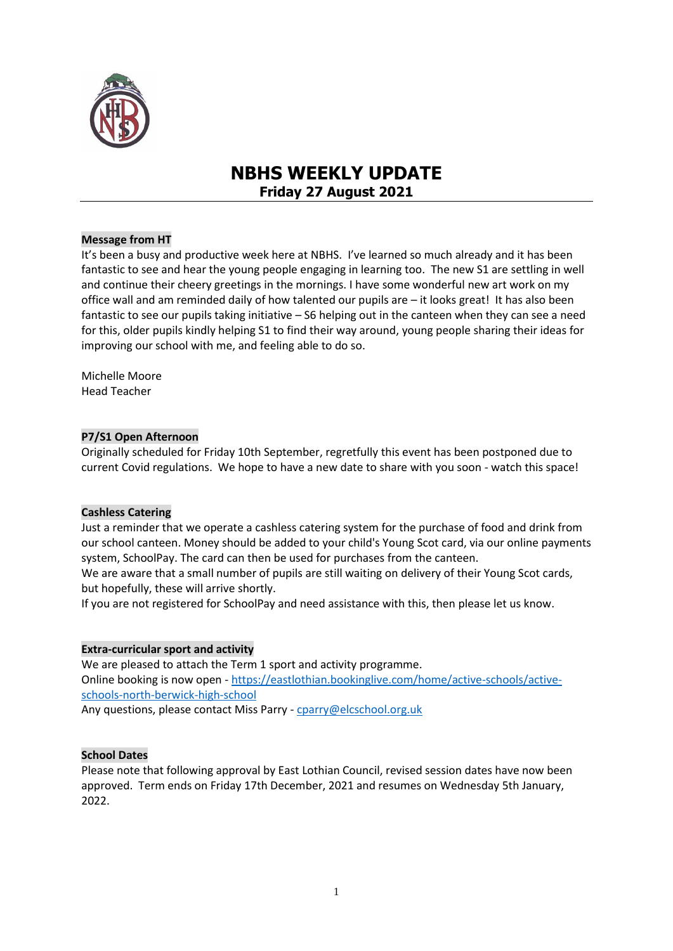

# **NBHS WEEKLY UPDATE Friday 27 August 2021**

## **Message from HT**

It's been a busy and productive week here at NBHS. I've learned so much already and it has been fantastic to see and hear the young people engaging in learning too. The new S1 are settling in well and continue their cheery greetings in the mornings. I have some wonderful new art work on my office wall and am reminded daily of how talented our pupils are – it looks great! It has also been fantastic to see our pupils taking initiative – S6 helping out in the canteen when they can see a need for this, older pupils kindly helping S1 to find their way around, young people sharing their ideas for improving our school with me, and feeling able to do so.

Michelle Moore Head Teacher

## **P7/S1 Open Afternoon**

Originally scheduled for Friday 10th September, regretfully this event has been postponed due to current Covid regulations. We hope to have a new date to share with you soon - watch this space!

#### **Cashless Catering**

Just a reminder that we operate a cashless catering system for the purchase of food and drink from our school canteen. Money should be added to your child's Young Scot card, via our online payments system, SchoolPay. The card can then be used for purchases from the canteen.

We are aware that a small number of pupils are still waiting on delivery of their Young Scot cards, but hopefully, these will arrive shortly.

If you are not registered for SchoolPay and need assistance with this, then please let us know.

#### **Extra-curricular sport and activity**

We are pleased to attach the Term 1 sport and activity programme. Online booking is now open - [https://eastlothian.bookinglive.com/home/active-schools/active](https://eastlothian.bookinglive.com/home/active-schools/active-schools-north-berwick-high-school)[schools-north-berwick-high-school](https://eastlothian.bookinglive.com/home/active-schools/active-schools-north-berwick-high-school)

Any questions, please contact Miss Parry - [cparry@elcschool.org.uk](mailto:cparry@elcschool.org.uk)

#### **School Dates**

Please note that following approval by East Lothian Council, revised session dates have now been approved. Term ends on Friday 17th December, 2021 and resumes on Wednesday 5th January, 2022.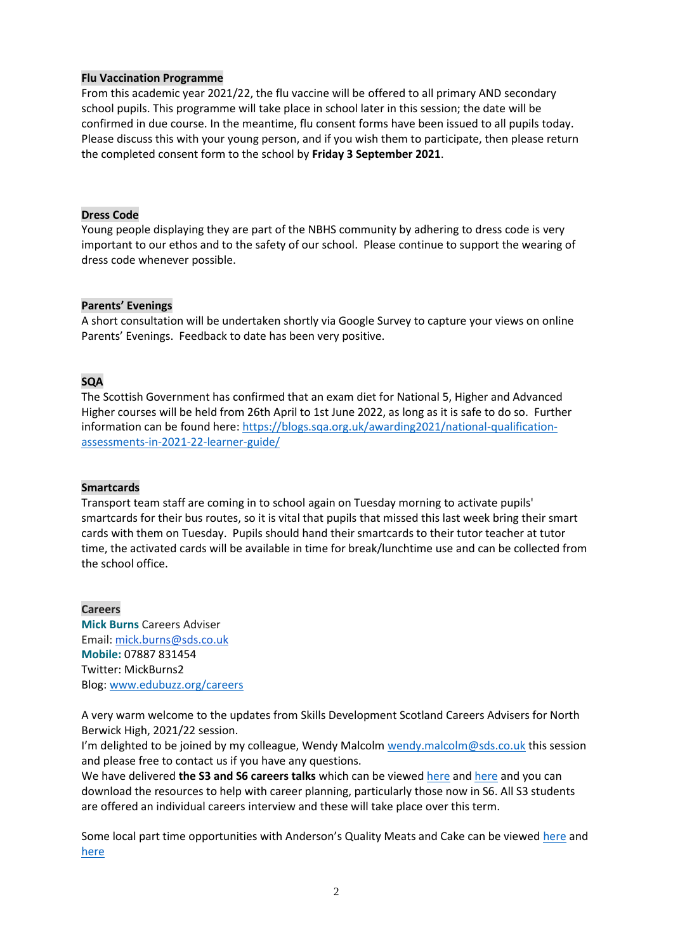## **Flu Vaccination Programme**

From this academic year 2021/22, the flu vaccine will be offered to all primary AND secondary school pupils. This programme will take place in school later in this session; the date will be confirmed in due course. In the meantime, flu consent forms have been issued to all pupils today. Please discuss this with your young person, and if you wish them to participate, then please return the completed consent form to the school by **Friday 3 September 2021**.

#### **Dress Code**

Young people displaying they are part of the NBHS community by adhering to dress code is very important to our ethos and to the safety of our school. Please continue to support the wearing of dress code whenever possible.

## **Parents' Evenings**

A short consultation will be undertaken shortly via Google Survey to capture your views on online Parents' Evenings. Feedback to date has been very positive.

# **SQA**

The Scottish Government has confirmed that an exam diet for National 5, Higher and Advanced Higher courses will be held from 26th April to 1st June 2022, as long as it is safe to do so. Further information can be found here[: https://blogs.sqa.org.uk/awarding2021/national-qualification](https://blogs.sqa.org.uk/awarding2021/national-qualification-assessments-in-2021-22-learner-guide/)[assessments-in-2021-22-learner-guide/](https://blogs.sqa.org.uk/awarding2021/national-qualification-assessments-in-2021-22-learner-guide/)

# **Smartcards**

Transport team staff are coming in to school again on Tuesday morning to activate pupils' smartcards for their bus routes, so it is vital that pupils that missed this last week bring their smart cards with them on Tuesday. Pupils should hand their smartcards to their tutor teacher at tutor time, the activated cards will be available in time for break/lunchtime use and can be collected from the school office.

**Careers Mick Burns** Careers Adviser Email: [mick.burns@sds.co.uk](https://mail.elcschool.org.uk/owa/redir.aspx?C=fbGa3DGVrsUoQB2CnJP23eXwMGzxu7J1CtarT6dTOwkq_NlpJujXCA..&URL=mailto%3amick.burns%40sds.co.uk) **Mobile:** 07887 831454 Twitter: MickBurns2 Blog: [www.edubuzz.org/careers](http://www.edubuzz.org/careers)

A very warm welcome to the updates from Skills Development Scotland Careers Advisers for North Berwick High, 2021/22 session.

I'm delighted to be joined by my colleague, Wendy Malcolm [wendy.malcolm@sds.co.uk](mailto:wendy.malcolm@sds.co.uk) this session and please free to contact us if you have any questions.

We have delivered **the S3 and S6 careers talks** which can be viewe[d here](https://www.edubuzz.org/careers/2021/05/12/s3-careers-talk-june-2021/) and [here](https://www.edubuzz.org/careers/2021/06/10/s6-careers-talk-june-2021/) and you can download the resources to help with career planning, particularly those now in S6. All S3 students are offered an individual careers interview and these will take place over this term.

Some local part time opportunities with Anderson's Quality Meats and Cake can be viewed [here](https://www.edubuzz.org/careers/2021/08/23/andersons-quality-butcher-north-berwick-vacancies/) and [here](https://www.edubuzz.org/careers/2021/08/19/cake-north-berwick-vacancy/)